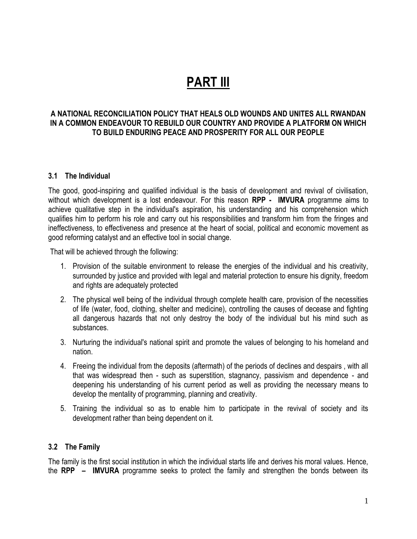# **PART III**

## **A NATIONAL RECONCILIATION POLICY THAT HEALS OLD WOUNDS AND UNITES ALL RWANDAN IN A COMMON ENDEAVOUR TO REBUILD OUR COUNTRY AND PROVIDE A PLATFORM ON WHICH TO BUILD ENDURING PEACE AND PROSPERITY FOR ALL OUR PEOPLE**

### **3.1 The Individual**

The good, good-inspiring and qualified individual is the basis of development and revival of civilisation, without which development is a lost endeavour. For this reason **RPP - IMVURA** programme aims to achieve qualitative step in the individual's aspiration, his understanding and his comprehension which qualifies him to perform his role and carry out his responsibilities and transform him from the fringes and ineffectiveness, to effectiveness and presence at the heart of social, political and economic movement as good reforming catalyst and an effective tool in social change.

That will be achieved through the following:

- 1. Provision of the suitable environment to release the energies of the individual and his creativity, surrounded by justice and provided with legal and material protection to ensure his dignity, freedom and rights are adequately protected
- 2. The physical well being of the individual through complete health care, provision of the necessities of life (water, food, clothing, shelter and medicine), controlling the causes of decease and fighting all dangerous hazards that not only destroy the body of the individual but his mind such as substances.
- 3. Nurturing the individual's national spirit and promote the values of belonging to his homeland and nation.
- 4. Freeing the individual from the deposits (aftermath) of the periods of declines and despairs , with all that was widespread then - such as superstition, stagnancy, passivism and dependence - and deepening his understanding of his current period as well as providing the necessary means to develop the mentality of programming, planning and creativity.
- 5. Training the individual so as to enable him to participate in the revival of society and its development rather than being dependent on it.

#### **3.2 The Family**

The family is the first social institution in which the individual starts life and derives his moral values. Hence, the **RPP – IMVURA** programme seeks to protect the family and strengthen the bonds between its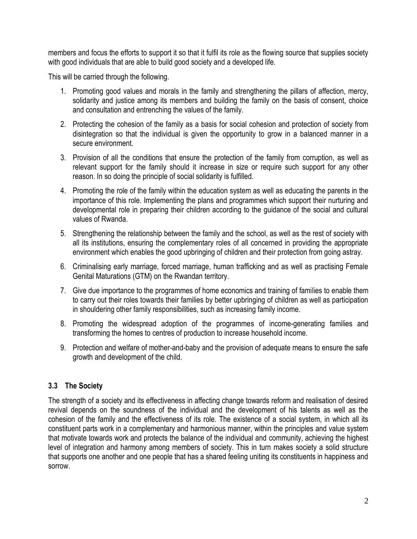members and focus the efforts to support it so that it fulfil its role as the flowing source that supplies society with good individuals that are able to build good society and a developed life.

This will be carried through the following.

- 1. Promoting good values and morals in the family and strengthening the pillars of affection, mercy, solidarity and justice among its members and building the family on the basis of consent, choice and consultation and entrenching the values of the family.
- 2. Protecting the cohesion of the family as a basis for social cohesion and protection of society from disintegration so that the individual is given the opportunity to grow in a balanced manner in a secure environment.
- 3. Provision of all the conditions that ensure the protection of the family from corruption, as well as relevant support for the family should it increase in size or require such support for any other reason. In so doing the principle of social solidarity is fulfilled.
- 4. Promoting the role of the family within the education system as well as educating the parents in the importance of this role. Implementing the plans and programmes which support their nurturing and developmental role in preparing their children according to the guidance of the social and cultural values of Rwanda.
- 5. Strengthening the relationship between the family and the school, as well as the rest of society with all its institutions, ensuring the complementary roles of all concerned in providing the appropriate environment which enables the good upbringing of children and their protection from going astray.
- 6. Criminalising early marriage, forced marriage, human trafficking and as well as practising Female Genital Maturations (GTM) on the Rwandan territory.
- 7. Give due importance to the programmes of home economics and training of families to enable them to carry out their roles towards their families by better upbringing of children as well as participation in shouldering other family responsibilities, such as increasing family income.
- 8. Promoting the widespread adoption of the programmes of income-generating families and transforming the homes to centres of production to increase household income.
- 9. Protection and welfare of mother-and-baby and the provision of adequate means to ensure the safe growth and development of the child.

# **3.3 The Society**

The strength of a society and its effectiveness in affecting change towards reform and realisation of desired revival depends on the soundness of the individual and the development of his talents as well as the cohesion of the family and the effectiveness of its role. The existence of a social system, in which all its constituent parts work in a complementary and harmonious manner, within the principles and value system that motivate towards work and protects the balance of the individual and community, achieving the highest level of integration and harmony among members of society. This in turn makes society a solid structure that supports one another and one people that has a shared feeling uniting its constituents in happiness and sorrow.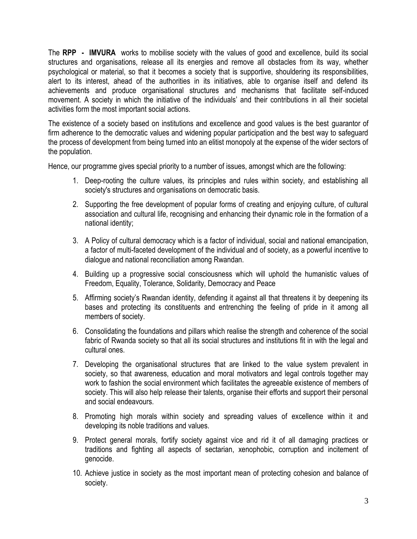The **RPP - IMVURA** works to mobilise society with the values of good and excellence, build its social structures and organisations, release all its energies and remove all obstacles from its way, whether psychological or material, so that it becomes a society that is supportive, shouldering its responsibilities, alert to its interest, ahead of the authorities in its initiatives, able to organise itself and defend its achievements and produce organisational structures and mechanisms that facilitate self-induced movement. A society in which the initiative of the individuals' and their contributions in all their societal activities form the most important social actions.

The existence of a society based on institutions and excellence and good values is the best guarantor of firm adherence to the democratic values and widening popular participation and the best way to safeguard the process of development from being turned into an elitist monopoly at the expense of the wider sectors of the population.

Hence, our programme gives special priority to a number of issues, amongst which are the following:

- 1. Deep-rooting the culture values, its principles and rules within society, and establishing all society's structures and organisations on democratic basis.
- 2. Supporting the free development of popular forms of creating and enjoying culture, of cultural association and cultural life, recognising and enhancing their dynamic role in the formation of a national identity;
- 3. A Policy of cultural democracy which is a factor of individual, social and national emancipation, a factor of multi-faceted development of the individual and of society, as a powerful incentive to dialogue and national reconciliation among Rwandan.
- 4. Building up a progressive social consciousness which will uphold the humanistic values of Freedom, Equality, Tolerance, Solidarity, Democracy and Peace
- 5. Affirming society's Rwandan identity, defending it against all that threatens it by deepening its bases and protecting its constituents and entrenching the feeling of pride in it among all members of society.
- 6. Consolidating the foundations and pillars which realise the strength and coherence of the social fabric of Rwanda society so that all its social structures and institutions fit in with the legal and cultural ones.
- 7. Developing the organisational structures that are linked to the value system prevalent in society, so that awareness, education and moral motivators and legal controls together may work to fashion the social environment which facilitates the agreeable existence of members of society. This will also help release their talents, organise their efforts and support their personal and social endeavours.
- 8. Promoting high morals within society and spreading values of excellence within it and developing its noble traditions and values.
- 9. Protect general morals, fortify society against vice and rid it of all damaging practices or traditions and fighting all aspects of sectarian, xenophobic, corruption and incitement of genocide.
- 10. Achieve justice in society as the most important mean of protecting cohesion and balance of society.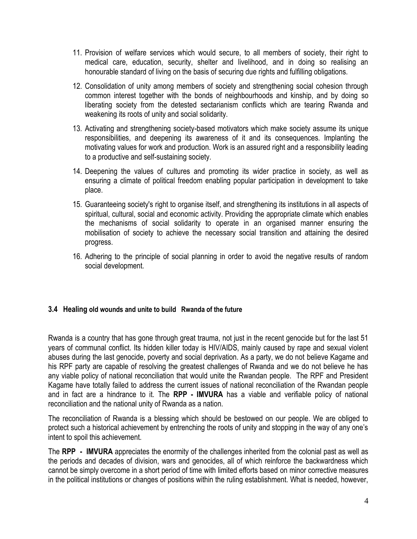- 11. Provision of welfare services which would secure, to all members of society, their right to medical care, education, security, shelter and livelihood, and in doing so realising an honourable standard of living on the basis of securing due rights and fulfilling obligations.
- 12. Consolidation of unity among members of society and strengthening social cohesion through common interest together with the bonds of neighbourhoods and kinship, and by doing so liberating society from the detested sectarianism conflicts which are tearing Rwanda and weakening its roots of unity and social solidarity.
- 13. Activating and strengthening society-based motivators which make society assume its unique responsibilities, and deepening its awareness of it and its consequences. Implanting the motivating values for work and production. Work is an assured right and a responsibility leading to a productive and self-sustaining society.
- 14. Deepening the values of cultures and promoting its wider practice in society, as well as ensuring a climate of political freedom enabling popular participation in development to take place.
- 15. Guaranteeing society's right to organise itself, and strengthening its institutions in all aspects of spiritual, cultural, social and economic activity. Providing the appropriate climate which enables the mechanisms of social solidarity to operate in an organised manner ensuring the mobilisation of society to achieve the necessary social transition and attaining the desired progress.
- 16. Adhering to the principle of social planning in order to avoid the negative results of random social development.

# **3.4 Healing old wounds and unite to build Rwanda of the future**

Rwanda is a country that has gone through great trauma, not just in the recent genocide but for the last 51 years of communal conflict. Its hidden killer today is HIV/AIDS, mainly caused by rape and sexual violent abuses during the last genocide, poverty and social deprivation. As a party, we do not believe Kagame and his RPF party are capable of resolving the greatest challenges of Rwanda and we do not believe he has any viable policy of national reconciliation that would unite the Rwandan people. The RPF and President Kagame have totally failed to address the current issues of national reconciliation of the Rwandan people and in fact are a hindrance to it. The **RPP - IMVURA** has a viable and verifiable policy of national reconciliation and the national unity of Rwanda as a nation.

The reconciliation of Rwanda is a blessing which should be bestowed on our people. We are obliged to protect such a historical achievement by entrenching the roots of unity and stopping in the way of any one's intent to spoil this achievement.

The **RPP - IMVURA** appreciates the enormity of the challenges inherited from the colonial past as well as the periods and decades of division, wars and genocides, all of which reinforce the backwardness which cannot be simply overcome in a short period of time with limited efforts based on minor corrective measures in the political institutions or changes of positions within the ruling establishment. What is needed, however,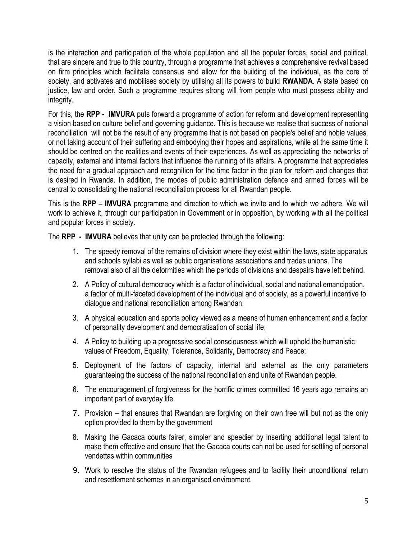is the interaction and participation of the whole population and all the popular forces, social and political, that are sincere and true to this country, through a programme that achieves a comprehensive revival based on firm principles which facilitate consensus and allow for the building of the individual, as the core of society, and activates and mobilises society by utilising all its powers to build **RWANDA**. A state based on justice, law and order. Such a programme requires strong will from people who must possess ability and integrity.

For this, the **RPP - IMVURA** puts forward a programme of action for reform and development representing a vision based on culture belief and governing guidance. This is because we realise that success of national reconciliation will not be the result of any programme that is not based on people's belief and noble values, or not taking account of their suffering and embodying their hopes and aspirations, while at the same time it should be centred on the realities and events of their experiences. As well as appreciating the networks of capacity, external and internal factors that influence the running of its affairs. A programme that appreciates the need for a gradual approach and recognition for the time factor in the plan for reform and changes that is desired in Rwanda. In addition, the modes of public administration defence and armed forces will be central to consolidating the national reconciliation process for all Rwandan people.

This is the **RPP – IMVURA** programme and direction to which we invite and to which we adhere. We will work to achieve it, through our participation in Government or in opposition, by working with all the political and popular forces in society.

The **RPP - IMVURA** believes that unity can be protected through the following:

- 1. The speedy removal of the remains of division where they exist within the laws, state apparatus and schools syllabi as well as public organisations associations and trades unions. The removal also of all the deformities which the periods of divisions and despairs have left behind.
- 2. A Policy of cultural democracy which is a factor of individual, social and national emancipation, a factor of multi-faceted development of the individual and of society, as a powerful incentive to dialogue and national reconciliation among Rwandan;
- 3. A physical education and sports policy viewed as a means of human enhancement and a factor of personality development and democratisation of social life;
- 4. A Policy to building up a progressive social consciousness which will uphold the humanistic values of Freedom, Equality, Tolerance, Solidarity, Democracy and Peace;
- 5. Deployment of the factors of capacity, internal and external as the only parameters guaranteeing the success of the national reconciliation and unite of Rwandan people.
- 6. The encouragement of forgiveness for the horrific crimes committed 16 years ago remains an important part of everyday life.
- 7. Provision that ensures that Rwandan are forgiving on their own free will but not as the only option provided to them by the government
- 8. Making the Gacaca courts fairer, simpler and speedier by inserting additional legal talent to make them effective and ensure that the Gacaca courts can not be used for settling of personal vendettas within communities
- 9. Work to resolve the status of the Rwandan refugees and to facility their unconditional return and resettlement schemes in an organised environment.